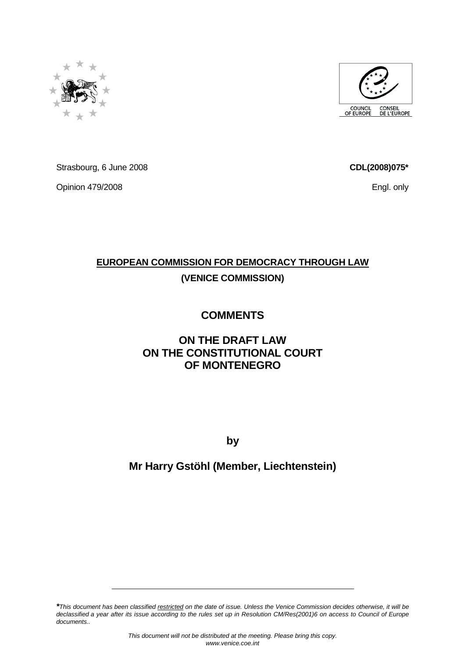

Strasbourg, 6 June 2008

Opinion 479/2008

## **EUROPEAN COMMISSION FOR DEMOCRACY THROUGH LAW (VENICE COMMISSION)**

# **COMMENTS**

### **ON THE DRAFT LAW ON THE CONSTITUTIONAL COURT OF MONTENEGRO**

**by** 

# **Mr Harry Gstöhl (Member, Liechtenstein)**

**\***This document has been classified restricted on the date of issue. Unless the Venice Commission decides otherwise, it will be declassified a year after its issue according to the rules set up in Resolution CM/Res(2001)6 on access to Council of Europe documents..





**CDL(2008)075\***

Engl. only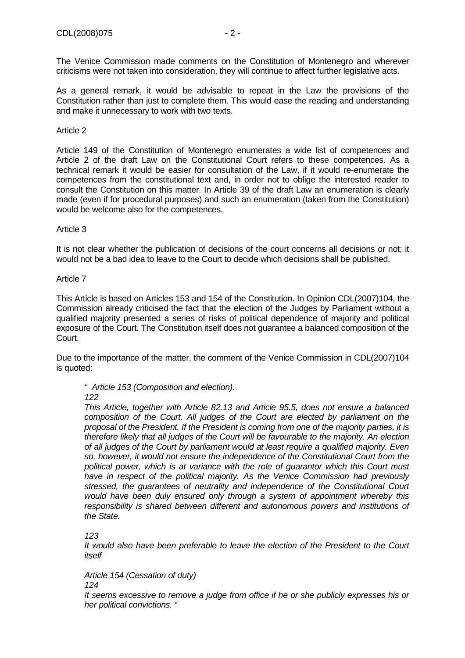The Venice Commission made comments on the Constitution of Montenegro and wherever criticisms were not taken into consideration, they will continue to affect further legislative acts.

As a general remark, it would be advisable to repeat in the Law the provisions of the Constitution rather than just to complete them. This would ease the reading and understanding and make it unnecessary to work with two texts.

#### Article 2

Article 149 of the Constitution of Montenegro enumerates a wide list of competences and Article 2 of the draft Law on the Constitutional Court refers to these competences. As a technical remark it would be easier for consultation of the Law, if it would re-enumerate the competences from the constitutional text and, in order not to oblige the interested reader to consult the Constitution on this matter. In Article 39 of the draft Law an enumeration is clearly made (even if for procedural purposes) and such an enumeration (taken from the Constitution) would be welcome also for the competences.

#### Article 3

It is not clear whether the publication of decisions of the court concerns all decisions or not; it would not be a bad idea to leave to the Court to decide which decisions shall be published.

#### Article 7

This Article is based on Articles 153 and 154 of the Constitution. In Opinion CDL(2007)104, the Commission already criticised the fact that the election of the Judges by Parliament without a qualified majority presented a series of risks of political dependence of majority and political exposure of the Court. The Constitution itself does not guarantee a balanced composition of the Court.

Due to the importance of the matter, the comment of the Venice Commission in CDL(2007)104 is quoted:

#### " Article 153 (Composition and election).

122

This Article, together with Article 82.13 and Article 95.5, does not ensure a balanced composition of the Court. All judges of the Court are elected by parliament on the proposal of the President. If the President is coming from one of the majority parties, it is therefore likely that all judges of the Court will be favourable to the majority. An election of all judges of the Court by parliament would at least require a qualified majority. Even so, however, it would not ensure the independence of the Constitutional Court from the political power, which is at variance with the role of guarantor which this Court must have in respect of the political majority. As the Venice Commission had previously stressed, the guarantees of neutrality and independence of the Constitutional Court would have been duly ensured only through a system of appointment whereby this responsibility is shared between different and autonomous powers and institutions of the State.

123

It would also have been preferable to leave the election of the President to the Court itself

Article 154 (Cessation of duty) 124

It seems excessive to remove a judge from office if he or she publicly expresses his or her political convictions. "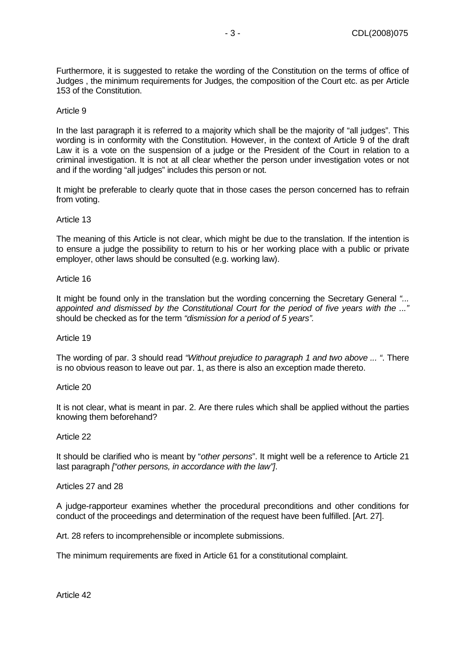Furthermore, it is suggested to retake the wording of the Constitution on the terms of office of Judges , the minimum requirements for Judges, the composition of the Court etc. as per Article 153 of the Constitution.

#### Article 9

In the last paragraph it is referred to a majority which shall be the majority of "all judges". This wording is in conformity with the Constitution. However, in the context of Article 9 of the draft Law it is a vote on the suspension of a judge or the President of the Court in relation to a criminal investigation. It is not at all clear whether the person under investigation votes or not and if the wording "all judges" includes this person or not.

It might be preferable to clearly quote that in those cases the person concerned has to refrain from voting.

#### Article 13

The meaning of this Article is not clear, which might be due to the translation. If the intention is to ensure a judge the possibility to return to his or her working place with a public or private employer, other laws should be consulted (e.g. working law).

#### Article 16

It might be found only in the translation but the wording concerning the Secretary General "... appointed and dismissed by the Constitutional Court for the period of five years with the ..." should be checked as for the term "dismission for a period of 5 years".

#### Article 19

The wording of par. 3 should read "Without prejudice to paragraph 1 and two above ... ". There is no obvious reason to leave out par. 1, as there is also an exception made thereto.

#### Article 20

It is not clear, what is meant in par. 2. Are there rules which shall be applied without the parties knowing them beforehand?

#### Article 22

It should be clarified who is meant by "other persons". It might well be a reference to Article 21 last paragraph ["other persons, in accordance with the law"].

#### Articles 27 and 28

A judge-rapporteur examines whether the procedural preconditions and other conditions for conduct of the proceedings and determination of the request have been fulfilled. [Art. 27].

Art. 28 refers to incomprehensible or incomplete submissions.

The minimum requirements are fixed in Article 61 for a constitutional complaint.